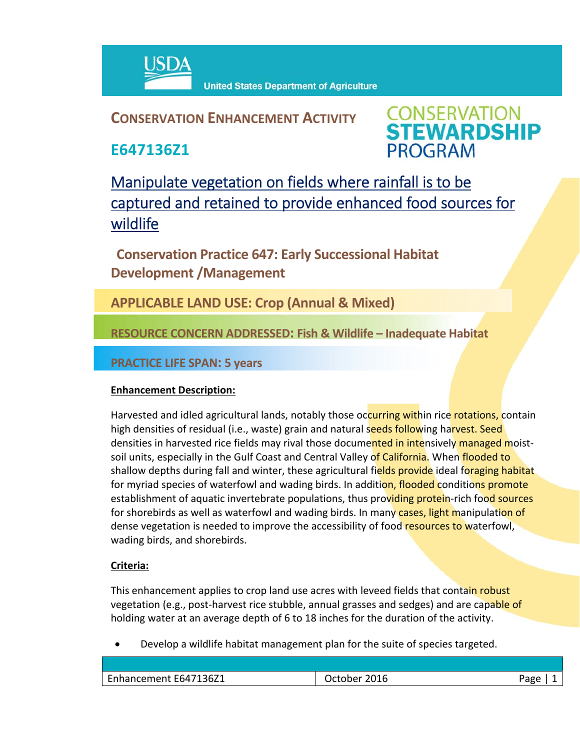

## **CONSERVATION ENHANCEMENT ACTIVITY**

**E647136Z1**

**CONSERVATION<br>STEWARDSHIP PROGRAM** 

Manipulate vegetation on fields where rainfall is to be captured and retained to provide enhanced food sources for wildlife

**Conservation Practice 647: Early Successional Habitat Development /Management** 

**APPLICABLE LAND USE: Crop (Annual & Mixed)**

**RESOURCE CONCERN ADDRESSED: Fish & Wildlife – Inadequate Habitat**

**PRACTICE LIFE SPAN: 5 years**

## **Enhancement Description:**

Harvested and idled agricultural lands, notably those occurring within rice rotations, contain high densities of residual (i.e., waste) grain and natural seeds following harvest. Seed densities in harvested rice fields may rival those documented in intensively managed moistsoil units, especially in the Gulf Coast and Central Valley of California. When flooded to shallow depths during fall and winter, these agricultural fields provide ideal foraging habitat for myriad species of waterfowl and wading birds. In addition, flooded conditions promote establishment of aquatic invertebrate populations, thus providing protein-rich food sources for shorebirds as well as waterfowl and wading birds. In many cases, light manipulation of dense vegetation is needed to improve the accessibility of food resources to waterfowl, wading birds, and shorebirds.

## **Criteria:**

This enhancement applies to crop land use acres with leveed fields that contain robust vegetation (e.g., post-harvest rice stubble, annual grasses and sedges) and are capable of holding water at an average depth of 6 to 18 inches for the duration of the activity.

Develop a wildlife habitat management plan for the suite of species targeted.

| -פרי |
|------|
|      |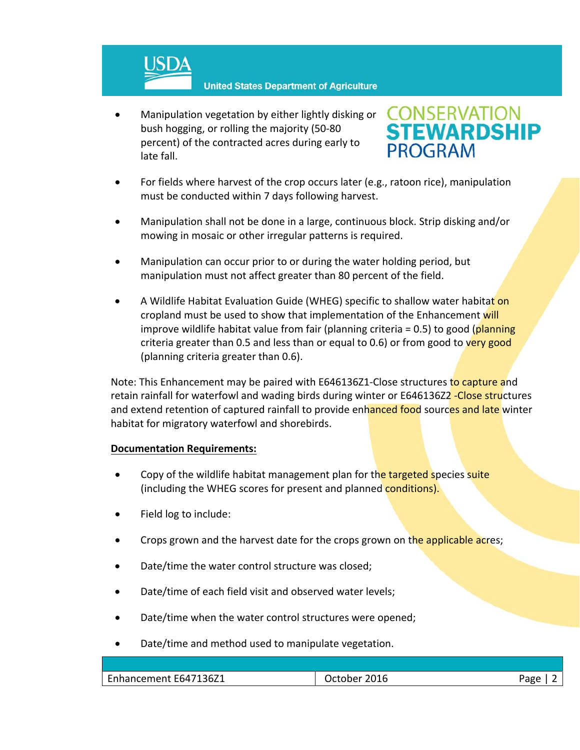

 Manipulation vegetation by either lightly disking or bush hogging, or rolling the majority (50‐80 percent) of the contracted acres during early to late fall.



- For fields where harvest of the crop occurs later (e.g., ratoon rice), manipulation must be conducted within 7 days following harvest.
- Manipulation shall not be done in a large, continuous block. Strip disking and/or mowing in mosaic or other irregular patterns is required.
- Manipulation can occur prior to or during the water holding period, but manipulation must not affect greater than 80 percent of the field.
- A Wildlife Habitat Evaluation Guide (WHEG) specific to shallow water habitat on cropland must be used to show that implementation of the Enhancement will improve wildlife habitat value from fair (planning criteria = 0.5) to good (planning criteria greater than 0.5 and less than or equal to 0.6) or from good to very good (planning criteria greater than 0.6).

Note: This Enhancement may be paired with E646136Z1-Close structures to capture and retain rainfall for waterfowl and wading birds during winter or E646136Z2 - Close structures and extend retention of captured rainfall to provide enhanced food sources and late winter habitat for migratory waterfowl and shorebirds.

## **Documentation Requirements:**

- Copy of the wildlife habitat management plan for the targeted species suite (including the WHEG scores for present and planned conditions).
- Field log to include:
- Crops grown and the harvest date for the crops grown on the applicable acres;
- Date/time the water control structure was closed;
- Date/time of each field visit and observed water levels;
- Date/time when the water control structures were opened;
- Date/time and method used to manipulate vegetation.

| Enhancement E647136Z1 | 2016<br>October | Aסב <sup>ר</sup><br>מי |
|-----------------------|-----------------|------------------------|